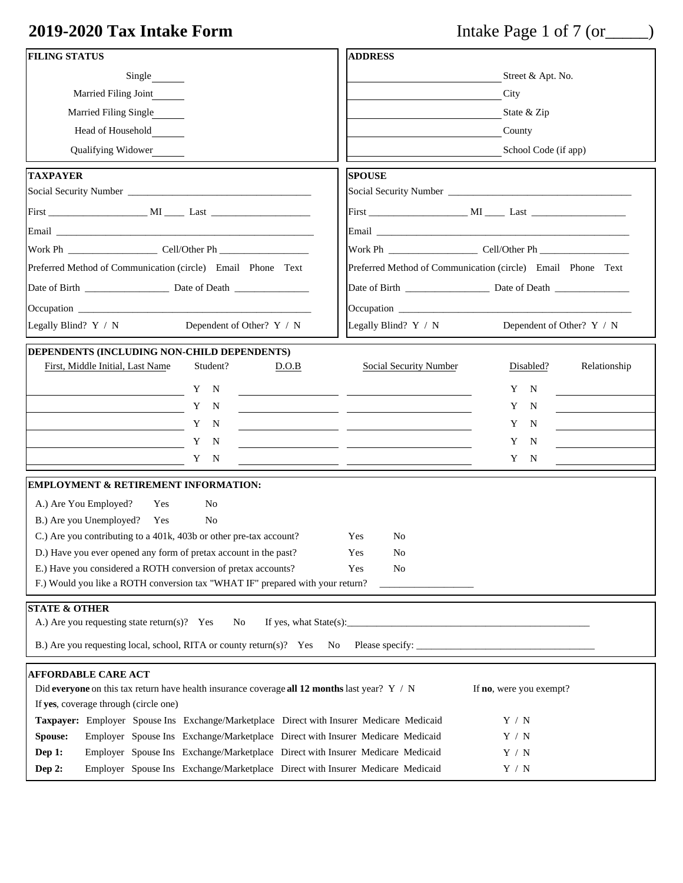# **2019-2020 Tax Intake Form** Intake Page 1 of 7 (or\_\_\_\_\_)

| <b>FILING STATUS</b>                                                                                                                                                                                                          | <b>ADDRESS</b>                                           |                                                                                                                                                                                                                               |  |  |  |
|-------------------------------------------------------------------------------------------------------------------------------------------------------------------------------------------------------------------------------|----------------------------------------------------------|-------------------------------------------------------------------------------------------------------------------------------------------------------------------------------------------------------------------------------|--|--|--|
| Single                                                                                                                                                                                                                        |                                                          | Street & Apt. No.                                                                                                                                                                                                             |  |  |  |
| Married Filing Joint                                                                                                                                                                                                          |                                                          | City                                                                                                                                                                                                                          |  |  |  |
| <b>Married Filing Single</b>                                                                                                                                                                                                  |                                                          | State & Zip                                                                                                                                                                                                                   |  |  |  |
| Head of Household                                                                                                                                                                                                             |                                                          | County                                                                                                                                                                                                                        |  |  |  |
| Qualifying Widower                                                                                                                                                                                                            |                                                          | School Code (if app)                                                                                                                                                                                                          |  |  |  |
| <b>TAXPAYER</b>                                                                                                                                                                                                               | <b>SPOUSE</b>                                            |                                                                                                                                                                                                                               |  |  |  |
|                                                                                                                                                                                                                               |                                                          |                                                                                                                                                                                                                               |  |  |  |
|                                                                                                                                                                                                                               |                                                          |                                                                                                                                                                                                                               |  |  |  |
|                                                                                                                                                                                                                               |                                                          |                                                                                                                                                                                                                               |  |  |  |
|                                                                                                                                                                                                                               |                                                          |                                                                                                                                                                                                                               |  |  |  |
| Preferred Method of Communication (circle) Email Phone Text                                                                                                                                                                   |                                                          | Preferred Method of Communication (circle) Email Phone Text                                                                                                                                                                   |  |  |  |
| Date of Birth Date of Death                                                                                                                                                                                                   |                                                          |                                                                                                                                                                                                                               |  |  |  |
| Occupation experience and the contract of the contract of the contract of the contract of the contract of the contract of the contract of the contract of the contract of the contract of the contract of the contract of the |                                                          | Occupation experience and the contract of the contract of the contract of the contract of the contract of the contract of the contract of the contract of the contract of the contract of the contract of the contract of the |  |  |  |
| Dependent of Other? Y / N<br>Legally Blind? Y / N                                                                                                                                                                             | Legally Blind? $Y / N$                                   | Dependent of Other? Y / N                                                                                                                                                                                                     |  |  |  |
| DEPENDENTS (INCLUDING NON-CHILD DEPENDENTS)<br>First, Middle Initial, Last Name<br>Student?<br>D.O.B                                                                                                                          | <b>Social Security Number</b>                            | Relationship<br>Disabled?                                                                                                                                                                                                     |  |  |  |
| Y<br>N<br>$\overline{\phantom{a}}$ and $\overline{\phantom{a}}$ and $\overline{\phantom{a}}$ and $\overline{\phantom{a}}$ and $\overline{\phantom{a}}$ and $\overline{\phantom{a}}$ and $\overline{\phantom{a}}$              |                                                          | Y<br>N                                                                                                                                                                                                                        |  |  |  |
| Y<br>N                                                                                                                                                                                                                        | <u> 1989 - Johann John Stone, mars et al. (</u>          | Y<br>N                                                                                                                                                                                                                        |  |  |  |
| Y<br>N                                                                                                                                                                                                                        | <u> 1989 - Johann John Stone, mars et al. (</u>          | Y<br>$\mathbf N$                                                                                                                                                                                                              |  |  |  |
| Y<br>N                                                                                                                                                                                                                        | <u> 1980 - Johann John Stein, mars et al. (b. 1980).</u> | Y<br>N                                                                                                                                                                                                                        |  |  |  |
| Y N                                                                                                                                                                                                                           | <u> 1989 - Johann John Stone, mars et al. (</u>          | Y<br>$\mathbf N$                                                                                                                                                                                                              |  |  |  |
| <b>EMPLOYMENT &amp; RETIREMENT INFORMATION:</b>                                                                                                                                                                               |                                                          |                                                                                                                                                                                                                               |  |  |  |
| A.) Are You Employed?<br>No<br>Yes                                                                                                                                                                                            |                                                          |                                                                                                                                                                                                                               |  |  |  |
| B.) Are you Unemployed? Yes<br>N <sub>0</sub>                                                                                                                                                                                 |                                                          |                                                                                                                                                                                                                               |  |  |  |
| C.) Are you contributing to a 401k, 403b or other pre-tax account?                                                                                                                                                            | Yes<br>N <sub>0</sub>                                    |                                                                                                                                                                                                                               |  |  |  |
| D.) Have you ever opened any form of pretax account in the past?                                                                                                                                                              | Yes<br>N <sub>o</sub>                                    |                                                                                                                                                                                                                               |  |  |  |
| E.) Have you considered a ROTH conversion of pretax accounts?                                                                                                                                                                 | Yes<br>No                                                |                                                                                                                                                                                                                               |  |  |  |
| F.) Would you like a ROTH conversion tax "WHAT IF" prepared with your return?                                                                                                                                                 |                                                          |                                                                                                                                                                                                                               |  |  |  |
| <b>STATE &amp; OTHER</b><br>A.) Are you requesting state return(s)? Yes<br>If yes, what State(s):<br>No                                                                                                                       |                                                          |                                                                                                                                                                                                                               |  |  |  |
| B.) Are you requesting local, school, RITA or county return(s)? Yes<br>N <sub>0</sub>                                                                                                                                         | Please specify: _                                        |                                                                                                                                                                                                                               |  |  |  |
|                                                                                                                                                                                                                               |                                                          |                                                                                                                                                                                                                               |  |  |  |
| <b>AFFORDABLE CARE ACT</b><br>Did everyone on this tax return have health insurance coverage all 12 months last year? $Y / N$<br>If no, were you exempt?                                                                      |                                                          |                                                                                                                                                                                                                               |  |  |  |
| If yes, coverage through (circle one)<br>Taxpayer: Employer Spouse Ins Exchange/Marketplace Direct with Insurer Medicare Medicaid                                                                                             |                                                          | Y / N                                                                                                                                                                                                                         |  |  |  |
| Spouse:<br>Employer Spouse Ins Exchange/Marketplace Direct with Insurer Medicare Medicaid<br>Y / N                                                                                                                            |                                                          |                                                                                                                                                                                                                               |  |  |  |
| Dep 1:<br>Employer Spouse Ins Exchange/Marketplace Direct with Insurer Medicare Medicaid                                                                                                                                      |                                                          | Y / N                                                                                                                                                                                                                         |  |  |  |
| Employer Spouse Ins Exchange/Marketplace Direct with Insurer Medicare Medicaid<br>Dep 2:<br>$\mathbf{Y}$ / $\mathbf{N}$                                                                                                       |                                                          |                                                                                                                                                                                                                               |  |  |  |
|                                                                                                                                                                                                                               |                                                          |                                                                                                                                                                                                                               |  |  |  |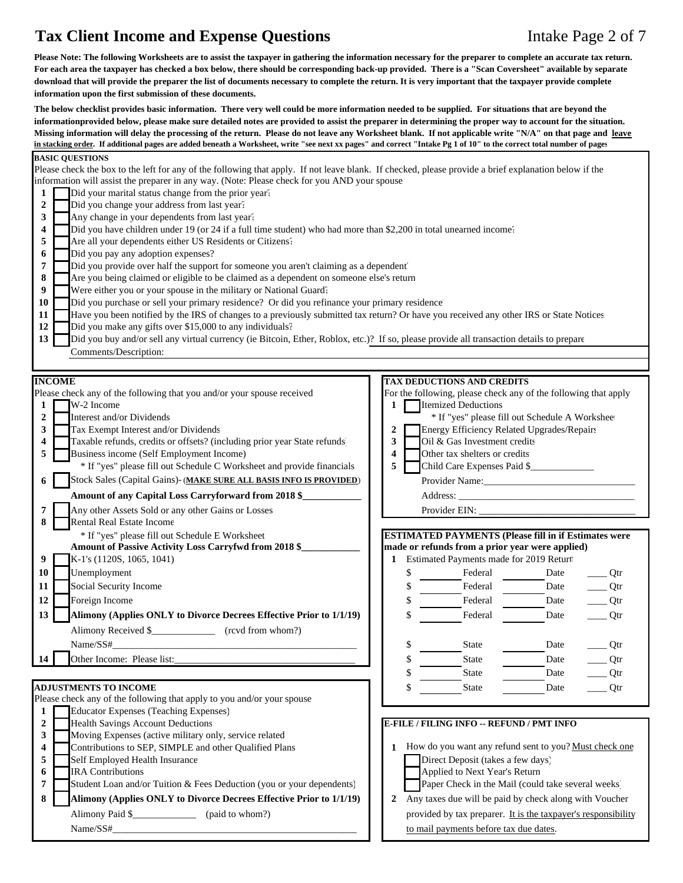## **Tax Client Income and Expense Questions** Intake Page 2 of 7

**Please Note: The following Worksheets are to assist the taxpayer in gathering the information necessary for the preparer to complete an accurate tax return. For each area the taxpayer has checked a box below, there should be corresponding back-up provided. There is a "Scan Coversheet" available by separate download that will provide the preparer the list of documents necessary to complete the return. It is very important that the taxpayer provide complete information upon the first submission of these documents.** 

**The below checklist provides basic information. There very well could be more information needed to be supplied. For situations that are beyond the informationprovided below, please make sure detailed notes are provided to assist the preparer in determining the proper way to account for the situation. Missing information will delay the processing of the return. Please do not leave any Worksheet blank. If not applicable write "N/A" on that page and leave in stacking order. If additional pages are added beneath a Worksheet, write "see next xx pages" and correct "Intake Pg 1 of 10" to the correct total number of pages**

#### **BASIC QUESTIONS** Please check the box to the left for any of the following that apply. If not leave blank. If checked, please provide a brief explanation below if the information will assist the preparer in any way. (Note: Please check for you AND your spouse **1** Did your marital status change from the prior year? 2 Did you change your address from last year? **3** Any change in your dependents from last year? **4** Did you have children under 19 (or 24 if a full time student) who had more than \$2,200 in total unearned income<sup>\*</sup> **5** Are all your dependents either US Residents or Citizens? **6** Did you pay any adoption expenses? **7** Did you provide over half the support for someone you aren't claiming as a dependent 8 Are you being claimed or eligible to be claimed as a dependent on someone else's return **9** Were either you or your spouse in the military or National Guard? 10 Did you purchase or sell your primary residence? Or did you refinance your primary residence<sup>'</sup> 11 **Have you been notified by the IRS** of changes to a previously submitted tax return? Or have you received any other IRS or State Notices 12 Did you make any gifts over \$15,000 to any individuals? 13 Did you buy and/or sell any virtual currency (ie Bitcoin, Ether, Roblox, etc.)? If so, please provide all transaction details to prepare Comments/Description: **INCOME TAX DEDUCTIONS AND CREDITS** Please check any of the following that you and/or your spouse received For the following, please check any of the following that apply **1** W-2 Income **1** W-2 Income **2** Interest and/or Dividends \* **If the absolute A Worksheet in the absolute A Worksheet in the set of the set of the set of the set of the set of the set of the set of the set of the set of the set of the set of the set o 3** Tax Exempt Interest and/or Dividends **2** Energy Efficiency Related Upgrades/Repairs **4** Taxable refunds, credits or offsets? (including prior year State refunds) **3** Oil & Gas Investment credits **5** Business income (Self Employment Income) **4** Other tax shelters or credits \* If "yes" please fill out Schedule C Worksheet and provide financials **5** Child Care Expenses Paid \$\_\_\_\_\_\_\_\_\_\_\_\_\_ **6** Stock Sales (Capital Gains)- (**MAKE SURE ALL BASIS INFO IS PROVIDED**) Provider Name: **Amount of any Capital Loss Carryforward from 2018 \$\_\_\_\_\_\_\_\_\_\_\_\_** Address: \_\_\_\_\_\_\_\_\_\_\_\_\_\_\_\_\_\_\_\_\_\_\_\_\_\_\_\_\_\_\_\_\_\_\_\_ **7** Any other Assets Sold or any other Gains or Losses Provider EIN: **8** Rental Real Estate Income \* If "yes" please fill out Schedule E Worksheet **ESTIMATED PAYMENTS (Please fill in if Estimates were Amount of Passive Activity Loss Carryfwd from 2018 \$\_\_\_\_\_\_\_\_\_\_\_\_ made or refunds from a prior year were applied) 9 K**-1's (1120S, 1065, 1041) **1** Estimated Payments made for 2019 Return **10** Unemployment \$ Federal Date \_\_\_\_ Qtr **11** Social Security Income **8 11** Social Security Income **11** S **Federal** Date Otr **12** Foreign Income **by Contract Contract Contract Contract Contract Contract Contract Contract Contract Contract Contract Contract Contract Contract Contract Contract Contract Contract Contract Contract Contract Contract** 13 **Alimony (Applies ONLY to Divorce Decrees Effective Prior to 1/1/19) 1** \$ Federal Date \_\_\_\_ Qtr Alimony Received \$\_\_\_\_\_\_\_\_\_\_\_\_\_\_\_\_\_\_ (rcvd from whom?) Name/SS#\_\_\_\_\_\_\_\_\_\_\_\_\_\_\_\_\_\_\_\_\_\_\_\_\_\_\_\_\_\_\_\_\_\_\_\_\_\_\_\_\_\_\_\_\_\_\_\_\_\_ \$ State Date \_\_\_\_ Qtr **14** Other Income: Please list:\_\_\_\_\_\_\_\_\_\_\_\_\_\_\_\_\_\_\_\_\_\_\_\_\_\_\_\_\_\_\_\_\_\_\_\_\_ \$ State Date \_\_\_\_ Qtr \$ State Date \_\_\_\_\_\_\_ Qtr **ADJUSTMENTS TO INCOME**  $\qquad \qquad \qquad$  **C**tr Please check any of the following that apply to you and/or your spouse **1** Educator Expenses (Teaching Expenses) **2** Health Savings Account Deductions **E-FILE / FILING INFO -- REFUND / PMT INFO**<br>Moving Expenses (active military only, service related **3** Moving Expenses (active military only, service related **4** Contributions to SEP, SIMPLE and other Qualified Plans **1 1** How do you want any refund sent to you? <u>Must check one</u> **5** Self Employed Health Insurance **Direct Deposit (takes a few days) 6** IRA Contributions **Applied to Next Year's Return 7** Student Loan and/or Tuition & Fees Deduction (you or your dependents) Paper Check in the Mail (could take several weeks) **8 Alimony (Applies ONLY to Divorce Decrees Effective Prior to 1/1/19)** 2 Any taxes due will be paid by check along with Voucher Alimony Paid \$ (paid to whom?) provided by tax preparer. It is the taxpayer's responsibility Name/SS#\_\_\_\_\_\_\_\_\_\_\_\_\_\_\_\_\_\_\_\_\_\_\_\_\_\_\_\_\_\_\_\_\_\_\_\_\_\_\_\_\_\_\_\_\_\_\_\_\_\_ to mail payments before tax due dates.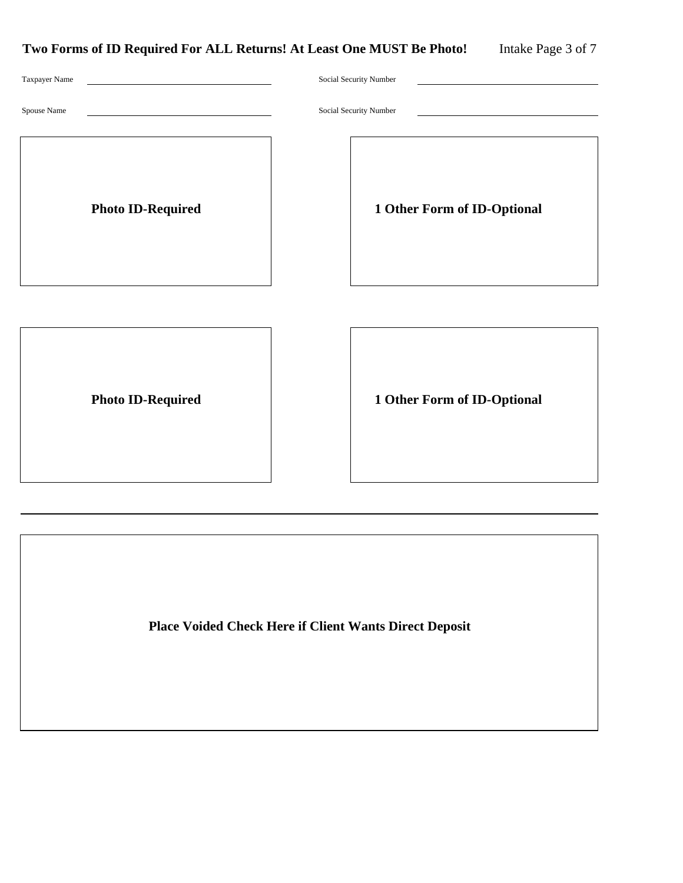| Two Forms of ID Required For ALL Returns! At Least One MUST Be Photo! |  |  |
|-----------------------------------------------------------------------|--|--|
|-----------------------------------------------------------------------|--|--|

| Taxpayer Name            | Social Security Number      |
|--------------------------|-----------------------------|
| Spouse Name              | Social Security Number      |
| <b>Photo ID-Required</b> | 1 Other Form of ID-Optional |
|                          |                             |
|                          |                             |

Photo ID-Required 1 Other Form of ID-Optional

**Place Voided Check Here if Client Wants Direct Deposit**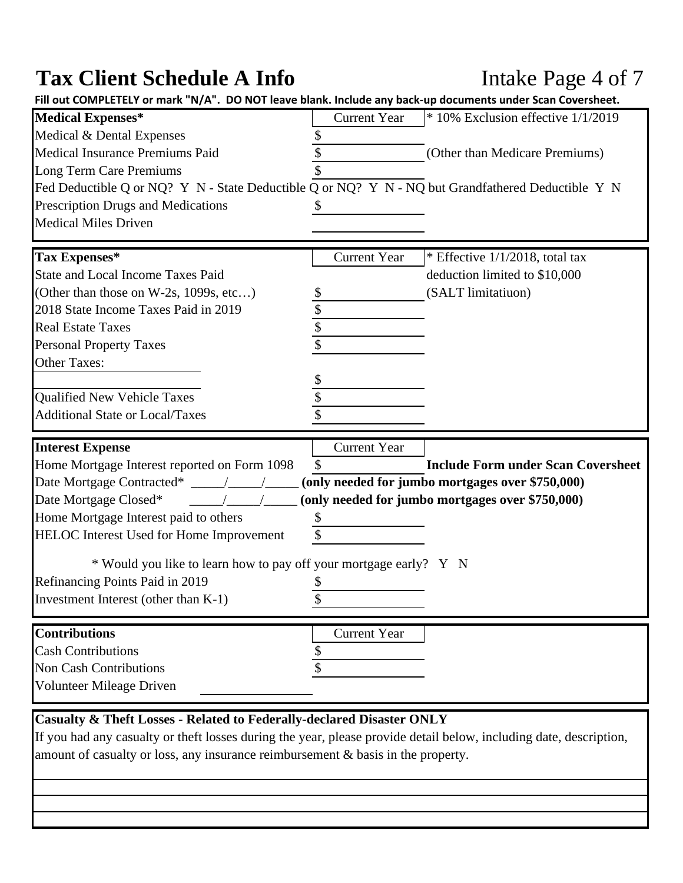# Tax Client Schedule A Info Intake Page 4 of 7

| Fill out COMPLETELY or mark "N/A". DO NOT leave blank. Include any back-up documents under Scan Coversheet.                                            |                           |                                                  |
|--------------------------------------------------------------------------------------------------------------------------------------------------------|---------------------------|--------------------------------------------------|
| <b>Medical Expenses*</b>                                                                                                                               | <b>Current Year</b>       | $*$ 10% Exclusion effective $1/1/2019$           |
| Medical & Dental Expenses                                                                                                                              |                           |                                                  |
| Medical Insurance Premiums Paid                                                                                                                        |                           | (Other than Medicare Premiums)                   |
| Long Term Care Premiums                                                                                                                                |                           |                                                  |
| Fed Deductible Q or NQ? Y N - State Deductible Q or NQ? Y N - NQ but Grandfathered Deductible Y N                                                      |                           |                                                  |
| Prescription Drugs and Medications                                                                                                                     |                           |                                                  |
| <b>Medical Miles Driven</b>                                                                                                                            |                           |                                                  |
|                                                                                                                                                        |                           |                                                  |
| Tax Expenses*                                                                                                                                          | <b>Current Year</b>       | * Effective $1/1/2018$ , total tax               |
| <b>State and Local Income Taxes Paid</b>                                                                                                               |                           | deduction limited to \$10,000                    |
| (Other than those on W-2s, 1099s, etc)                                                                                                                 | \$                        | (SALT limitatiuon)                               |
| 2018 State Income Taxes Paid in 2019                                                                                                                   | \$                        |                                                  |
| <b>Real Estate Taxes</b>                                                                                                                               | \$                        |                                                  |
| <b>Personal Property Taxes</b>                                                                                                                         | \$                        |                                                  |
| <b>Other Taxes:</b>                                                                                                                                    |                           |                                                  |
|                                                                                                                                                        |                           |                                                  |
| Qualified New Vehicle Taxes                                                                                                                            |                           |                                                  |
| <b>Additional State or Local/Taxes</b>                                                                                                                 |                           |                                                  |
| <b>Interest Expense</b>                                                                                                                                | <b>Current Year</b>       |                                                  |
| Home Mortgage Interest reported on Form 1098                                                                                                           | $\boldsymbol{\mathsf{S}}$ | <b>Include Form under Scan Coversheet</b>        |
|                                                                                                                                                        |                           | (only needed for jumbo mortgages over \$750,000) |
| Date Mortgage Closed*                                                                                                                                  |                           | (only needed for jumbo mortgages over \$750,000) |
|                                                                                                                                                        |                           |                                                  |
|                                                                                                                                                        |                           |                                                  |
|                                                                                                                                                        | \$<br>\$                  |                                                  |
|                                                                                                                                                        |                           |                                                  |
| Home Mortgage Interest paid to others<br>HELOC Interest Used for Home Improvement<br>* Would you like to learn how to pay off your mortgage early? Y N |                           |                                                  |
| Refinancing Points Paid in 2019                                                                                                                        | \$                        |                                                  |
| Investment Interest (other than K-1)                                                                                                                   | \$                        |                                                  |
|                                                                                                                                                        |                           |                                                  |
| <b>Contributions</b>                                                                                                                                   | <b>Current Year</b>       |                                                  |
| <b>Cash Contributions</b>                                                                                                                              | \$                        |                                                  |
| <b>Non Cash Contributions</b>                                                                                                                          |                           |                                                  |
| Volunteer Mileage Driven                                                                                                                               |                           |                                                  |

If you had any casualty or theft losses during the year, please provide detail below, including date, description, amount of casualty or loss, any insurance reimbursement & basis in the property.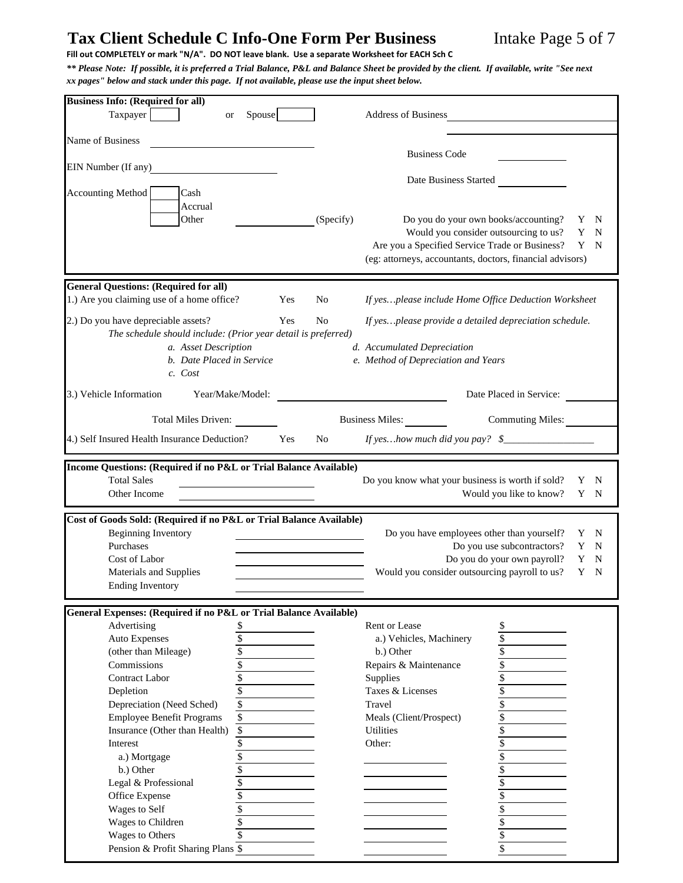## Tax Client Schedule C Info-One Form Per Business Intake Page 5 of 7

Fill out COMPLETELY or mark "N/A". DO NOT leave blank. Use a separate Worksheet for EACH Sch C

*\*\* Please Note: If possible, it is preferred a Trial Balance, P&L and Balance Sheet be provided by the client. If available, write "See next xx pages" below and stack under this page. If not available, please use the input sheet below.*

| <b>Business Info: (Required for all)</b>                                              |                          |     |                |                                                                                              |
|---------------------------------------------------------------------------------------|--------------------------|-----|----------------|----------------------------------------------------------------------------------------------|
| Taxpayer<br>or                                                                        | Spouse                   |     |                | <b>Address of Business</b>                                                                   |
|                                                                                       |                          |     |                |                                                                                              |
| Name of Business                                                                      |                          |     |                | <b>Business Code</b>                                                                         |
| EIN Number (If any)                                                                   |                          |     |                |                                                                                              |
|                                                                                       |                          |     |                | Date Business Started                                                                        |
| <b>Accounting Method</b><br>Cash                                                      |                          |     |                |                                                                                              |
| Accrual                                                                               |                          |     |                |                                                                                              |
| Other                                                                                 |                          |     | (Specify)      | Do you do your own books/accounting?<br>Y<br>N                                               |
|                                                                                       |                          |     |                | Would you consider outsourcing to us?<br>Y<br>N                                              |
|                                                                                       |                          |     |                | Are you a Specified Service Trade or Business?<br>Y<br>N                                     |
|                                                                                       |                          |     |                | (eg: attorneys, accountants, doctors, financial advisors)                                    |
| <b>General Questions: (Required for all)</b>                                          |                          |     |                |                                                                                              |
| 1.) Are you claiming use of a home office?                                            |                          | Yes | No             | If yesplease include Home Office Deduction Worksheet                                         |
|                                                                                       |                          |     |                |                                                                                              |
| 2.) Do you have depreciable assets?                                                   |                          | Yes | N <sub>0</sub> | If yesplease provide a detailed depreciation schedule.                                       |
| The schedule should include: (Prior year detail is preferred)<br>a. Asset Description |                          |     |                | d. Accumulated Depreciation                                                                  |
| b. Date Placed in Service                                                             |                          |     |                | e. Method of Depreciation and Years                                                          |
| c. Cost                                                                               |                          |     |                |                                                                                              |
|                                                                                       |                          |     |                |                                                                                              |
| 3.) Vehicle Information<br>Year/Make/Model:                                           |                          |     |                | Date Placed in Service:                                                                      |
| Total Miles Driven:                                                                   |                          |     |                | <b>Commuting Miles:</b><br>Business Miles:                                                   |
| 4.) Self Insured Health Insurance Deduction?                                          |                          | Yes | No.            | If yeshow much did you pay? $$$                                                              |
|                                                                                       |                          |     |                |                                                                                              |
| Income Questions: (Required if no P&L or Trial Balance Available)                     |                          |     |                |                                                                                              |
| <b>Total Sales</b>                                                                    |                          |     |                | Do you know what your business is worth if sold?<br>Y<br>N                                   |
| Other Income                                                                          |                          |     |                | Would you like to know?<br>Y<br>N                                                            |
|                                                                                       |                          |     |                |                                                                                              |
| Cost of Goods Sold: (Required if no P&L or Trial Balance Available)                   |                          |     |                |                                                                                              |
| <b>Beginning Inventory</b><br>Purchases                                               |                          |     |                | Do you have employees other than yourself?<br>Y<br>N<br>Do you use subcontractors?<br>Y<br>N |
| Cost of Labor                                                                         |                          |     |                | Do you do your own payroll?<br>Y<br>N                                                        |
| Materials and Supplies                                                                |                          |     |                | Would you consider outsourcing payroll to us?<br>Y<br>N                                      |
| <b>Ending Inventory</b>                                                               |                          |     |                |                                                                                              |
|                                                                                       |                          |     |                |                                                                                              |
| <b>General Expenses: (Required if no P&amp;L or Trial Balance Available)</b>          |                          |     |                |                                                                                              |
| Advertising                                                                           | \$                       |     |                | Rent or Lease<br>\$                                                                          |
| <b>Auto Expenses</b>                                                                  | \$                       |     |                | \$<br>a.) Vehicles, Machinery                                                                |
| (other than Mileage)<br>Commissions                                                   | \$<br>\$                 |     |                | \$<br>b.) Other<br>\$<br>Repairs & Maintenance                                               |
| <b>Contract Labor</b>                                                                 | \$                       |     |                | \$<br>Supplies                                                                               |
| Depletion                                                                             | $\overline{\mathcal{L}}$ |     |                | \$<br>Taxes & Licenses                                                                       |
| Depreciation (Need Sched)                                                             | $\overline{\mathsf{S}}$  |     |                | \$<br>Travel                                                                                 |
| <b>Employee Benefit Programs</b>                                                      | \$                       |     |                | \$<br>Meals (Client/Prospect)                                                                |
| Insurance (Other than Health)                                                         | \$                       |     |                | \$<br><b>Utilities</b>                                                                       |
| Interest                                                                              | \$                       |     |                | \$<br>Other:                                                                                 |
| a.) Mortgage                                                                          | \$                       |     |                | \$                                                                                           |
| b.) Other                                                                             | $\overline{\$}$          |     |                | \$                                                                                           |
| Legal & Professional                                                                  | \$                       |     |                | \$                                                                                           |
| Office Expense<br>Wages to Self                                                       | \$<br>\$                 |     |                | \$<br>\$                                                                                     |
| Wages to Children                                                                     | \$                       |     |                | \$                                                                                           |
| Wages to Others                                                                       |                          |     |                | \$                                                                                           |
| Pension & Profit Sharing Plans \$                                                     |                          |     |                | \$                                                                                           |
|                                                                                       |                          |     |                |                                                                                              |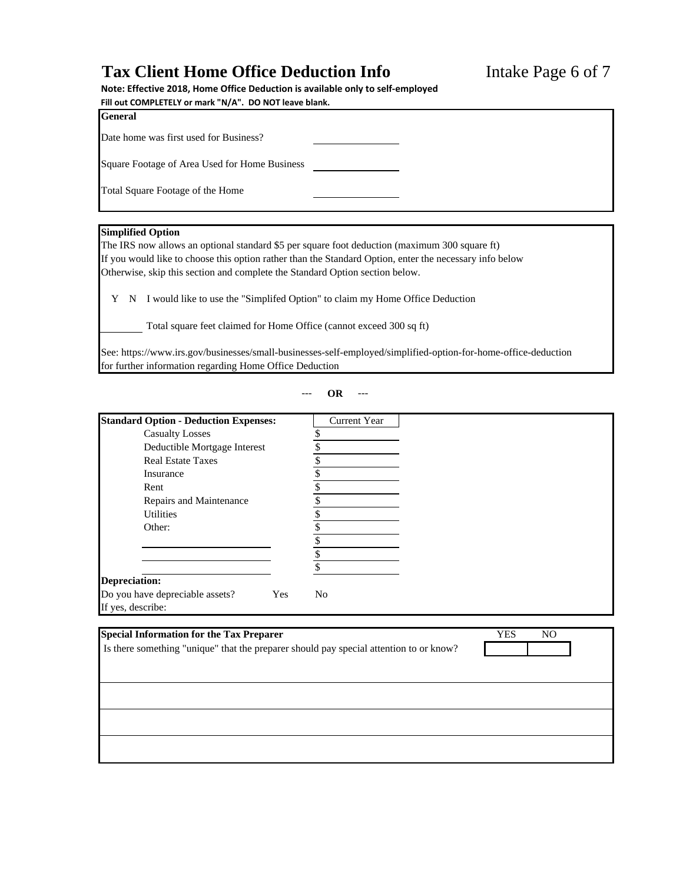### Tax Client Home Office Deduction Info<br>Intake Page 6 of 7

**Note: Effective 2018, Home Office Deduction is available only to self‐employed**

| Fill out COMPLETELY or mark "N/A". DO NOT leave blank. |  |  |  |  |
|--------------------------------------------------------|--|--|--|--|
| <b>General</b>                                         |  |  |  |  |
| Date home was first used for Business?                 |  |  |  |  |
| Square Footage of Area Used for Home Business          |  |  |  |  |
| Total Square Footage of the Home                       |  |  |  |  |
|                                                        |  |  |  |  |

#### **Simplified Option**

The IRS now allows an optional standard \$5 per square foot deduction (maximum 300 square ft) If you would like to choose this option rather than the Standard Option, enter the necessary info below Otherwise, skip this section and complete the Standard Option section below.

Y N I would like to use the "Simplifed Option" to claim my Home Office Deduction

Total square feet claimed for Home Office (cannot exceed 300 sq ft)

See: https://www.irs.gov/businesses/small-businesses-self-employed/simplified-option-for-home-office-deduction for further information regarding Home Office Deduction

--- **OR** ---

| <b>Standard Option - Deduction Expenses:</b>                | <b>Current Year</b> |  |
|-------------------------------------------------------------|---------------------|--|
| <b>Casualty Losses</b>                                      |                     |  |
| Deductible Mortgage Interest                                |                     |  |
| <b>Real Estate Taxes</b>                                    |                     |  |
| Insurance                                                   |                     |  |
| Rent                                                        |                     |  |
| Repairs and Maintenance                                     |                     |  |
| <b>Utilities</b>                                            |                     |  |
| Other:                                                      |                     |  |
|                                                             |                     |  |
|                                                             |                     |  |
|                                                             |                     |  |
| <b>Depreciation:</b>                                        |                     |  |
| Do you have depreciable assets?<br>Yes<br>If yes, describe: | No                  |  |

| <b>Special Information for the Tax Preparer</b>                                        | <b>YES</b> | NO |  |
|----------------------------------------------------------------------------------------|------------|----|--|
| Is there something "unique" that the preparer should pay special attention to or know? |            |    |  |
|                                                                                        |            |    |  |
|                                                                                        |            |    |  |
|                                                                                        |            |    |  |
|                                                                                        |            |    |  |
|                                                                                        |            |    |  |
|                                                                                        |            |    |  |
|                                                                                        |            |    |  |
|                                                                                        |            |    |  |